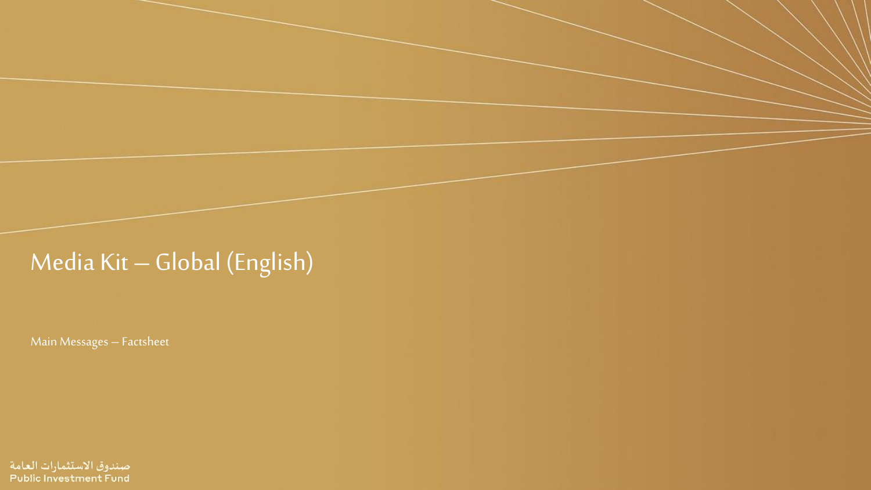# Media Kit – Global (English)

Main Messages – Factsheet

صندوق الاستثمارات العامة **Public Investment Fund**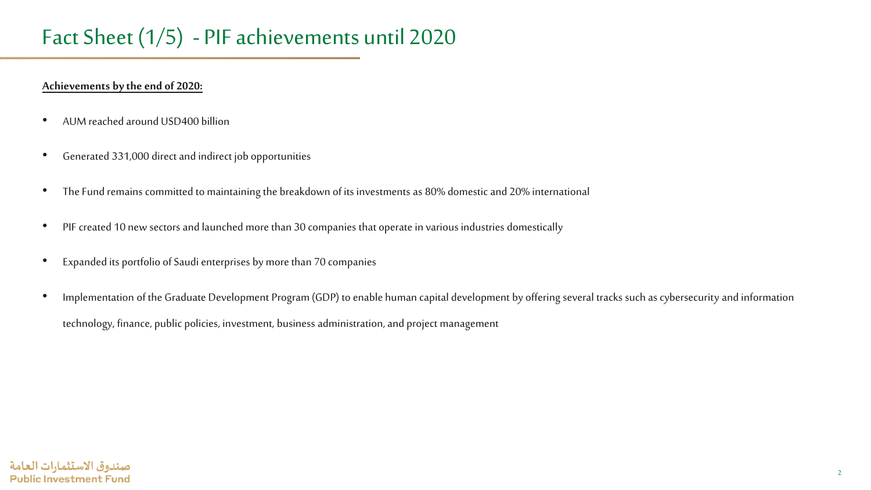### Fact Sheet (1/5) - PIF achievements until 2020

#### **Achievements by the end of 2020:**

- AUM reached around USD400 billion
- Generated 331,000 direct and indirect job opportunities
- The Fund remains committed to maintaining the breakdown of its investments as 80% domestic and 20% international
- PIF created 10 new sectors and launched more than 30 companies that operate in various industries domestically
- Expanded its portfolio of Saudi enterprises by more than 70 companies
- Implementation of the Graduate Development Program (GDP) to enable human capital development by offering several tracks such as cybersecurity and information technology, finance, public policies, investment, business administration, and project management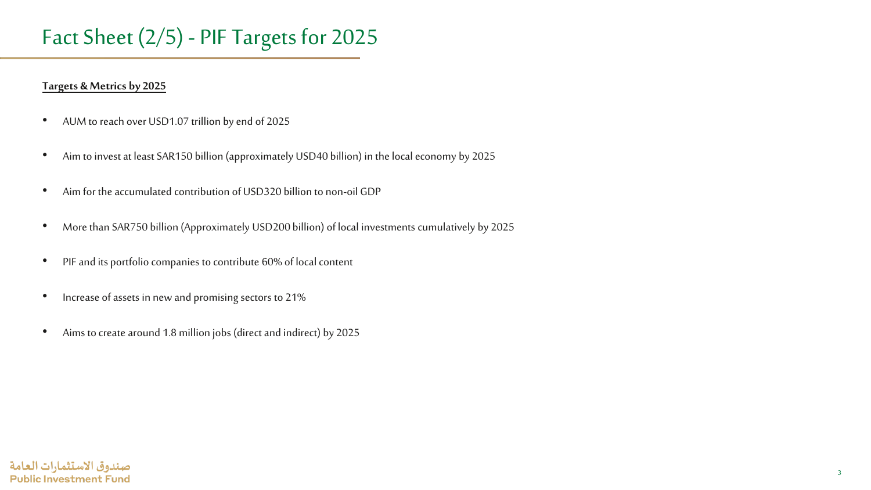### Fact Sheet (2/5) - PIF Targets for 2025

#### **Targets & Metrics by 2025**

- AUM to reach over USD1.07 trillion by end of 2025
- Aim to invest at least SAR150 billion (approximately USD40 billion) in the local economy by 2025
- Aim for the accumulated contribution of USD320 billion to non-oil GDP
- More than SAR750 billion (Approximately USD200 billion) of local investments cumulatively by 2025
- PIF and its portfolio companies to contribute 60% of local content
- Increase of assets in new and promising sectors to 21%
- Aims to create around 1.8 million jobs (direct and indirect) by 2025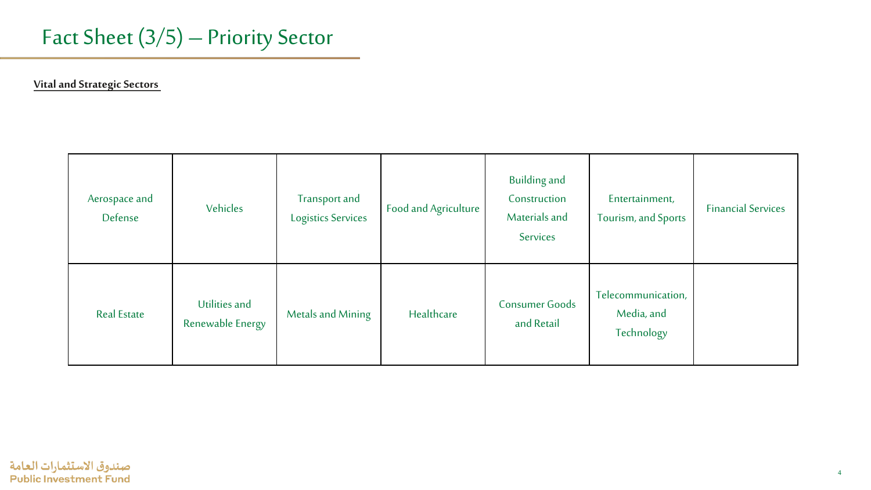

**Vital and Strategic Sectors** 

| Aerospace and<br>Defense | Vehicles                          | Transport and<br><b>Logistics Services</b> | Food and Agriculture | <b>Building and</b><br>Construction<br>Materials and<br>Services | Entertainment,<br>Tourism, and Sports          | <b>Financial Services</b> |
|--------------------------|-----------------------------------|--------------------------------------------|----------------------|------------------------------------------------------------------|------------------------------------------------|---------------------------|
| <b>Real Estate</b>       | Utilities and<br>Renewable Energy | Metals and Mining                          | Healthcare           | <b>Consumer Goods</b><br>and Retail                              | Telecommunication,<br>Media, and<br>Technology |                           |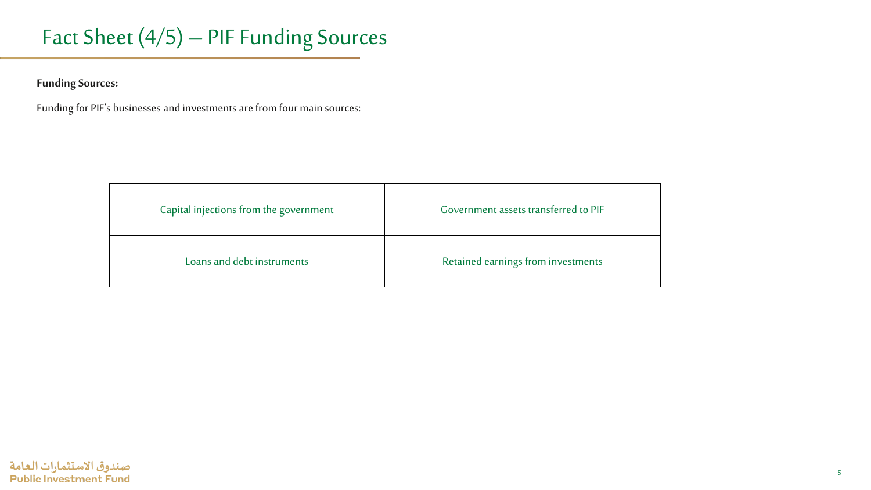### Fact Sheet (4/5) – PIF Funding Sources

**Funding Sources:**

Funding for PIF's businesses and investments are from four main sources:

| Capital injections from the government | Government assets transferred to PIF |  |  |
|----------------------------------------|--------------------------------------|--|--|
| Loans and debt instruments             | Retained earnings from investments   |  |  |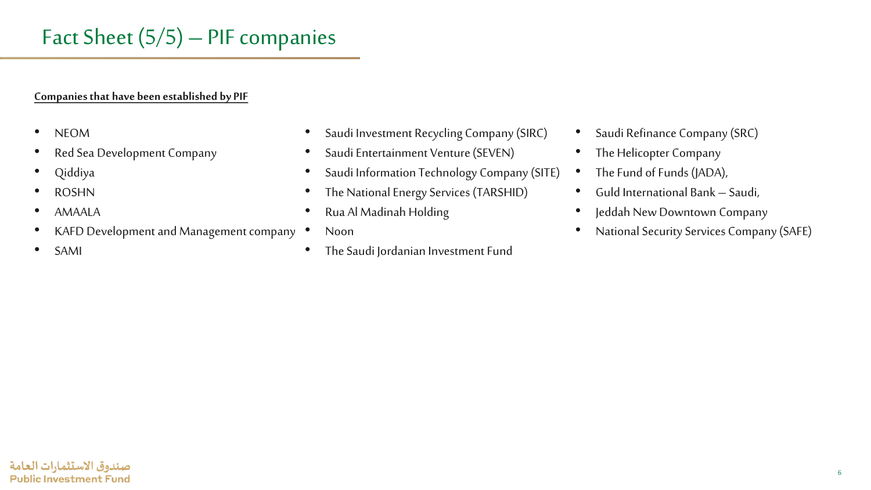### **Companies that have been established by PIF**

- NEOM
- Red Sea Development Company
- Qiddiya
- ROSHN
- AMAALA
- KAFD Development and Management company
- SAMI
- Saudi Investment Recycling Company (SIRC)
- Saudi Entertainment Venture (SEVEN)
- Saudi Information Technology Company (SITE)
- The National Energy Services (TARSHID)
- Rua Al Madinah Holding
- Noon
- The Saudi Jordanian Investment Fund
- Saudi Refinance Company (SRC)
- The Helicopter Company
- The Fund of Funds (JADA),
- Guld International Bank Saudi,
- Jeddah New Downtown Company
- National Security Services Company (SAFE)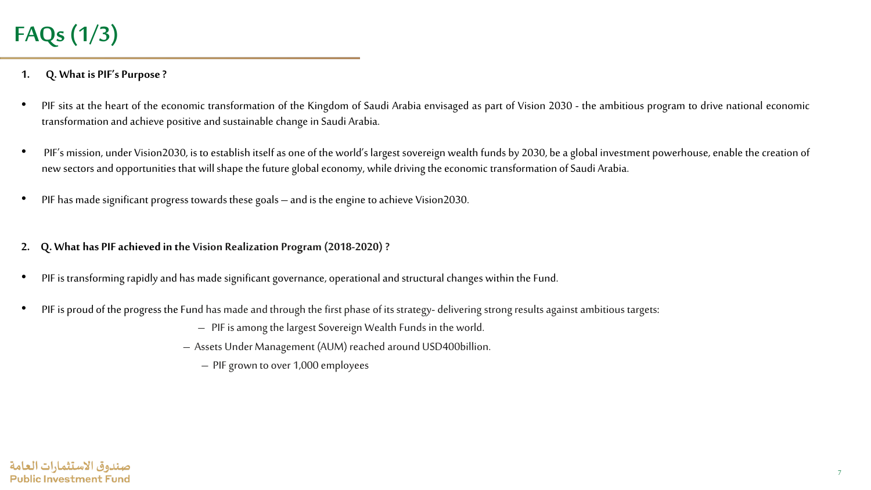#### **1. Q. What is PIF's Purpose?**

- PIF sits at the heart of the economic transformation of the Kingdom of Saudi Arabia envisaged as part of Vision 2030 the ambitious program to drive national economic transformation and achieve positive and sustainable change in Saudi Arabia.
- PIF's mission, under Vision2030, is to establish itself as one of the world's largest sovereign wealth funds by 2030, be a global investment powerhouse, enable the creation of new sectors and opportunities that will shape the future global economy, while driving the economic transformation of Saudi Arabia.
- PIF has made significant progress towards these goals and is the engine to achieve Vision2030.
- **2. Q. What has PIFachieved in the Vision Realization Program(2018-2020) ?**
- PIF is transforming rapidly and has made significant governance, operational and structural changes within the Fund.
- PIF is proud of the progress the Fund has made and through the first phase of its strategy- delivering strong results against ambitious targets:
	- PIF is among the largest Sovereign Wealth Funds in the world.
	- Assets Under Management (AUM) reached around USD400billion.
		- PIF grown to over 1,000 employees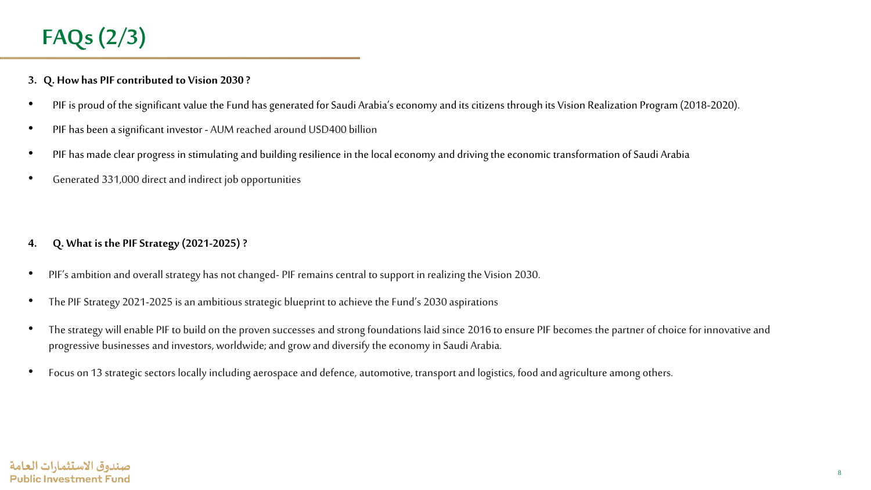# **FAQs (2/3)**

- **3. Q. How has PIFcontributed to Vision 2030 ?**
- PIF is proud of the significant value the Fund has generated for Saudi Arabia's economy and its citizens through its Vision Realization Program (2018-2020).
- PIF has been a significant investor AUM reached around USD400 billion
- PIF has made clear progress in stimulating and building resilience in the local economy and driving the economic transformation of Saudi Arabia
- Generated 331,000 direct and indirect job opportunities

- **4. Q. What is the PIF Strategy (2021-2025) ?**
- PIF's ambition and overall strategy has not changed- PIF remains central to support in realizing the Vision 2030.
- The PIF Strategy 2021-2025 is an ambitious strategic blueprint to achieve the Fund's 2030 aspirations
- The strategy will enable PIF to build on the proven successes and strong foundations laid since 2016 to ensure PIF becomes the partner of choice for innovative and progressive businesses and investors, worldwide; and grow and diversify the economy in Saudi Arabia.
- Focus on 13 strategic sectors locally including aerospace and defence, automotive, transport and logistics, food and agriculture among others.